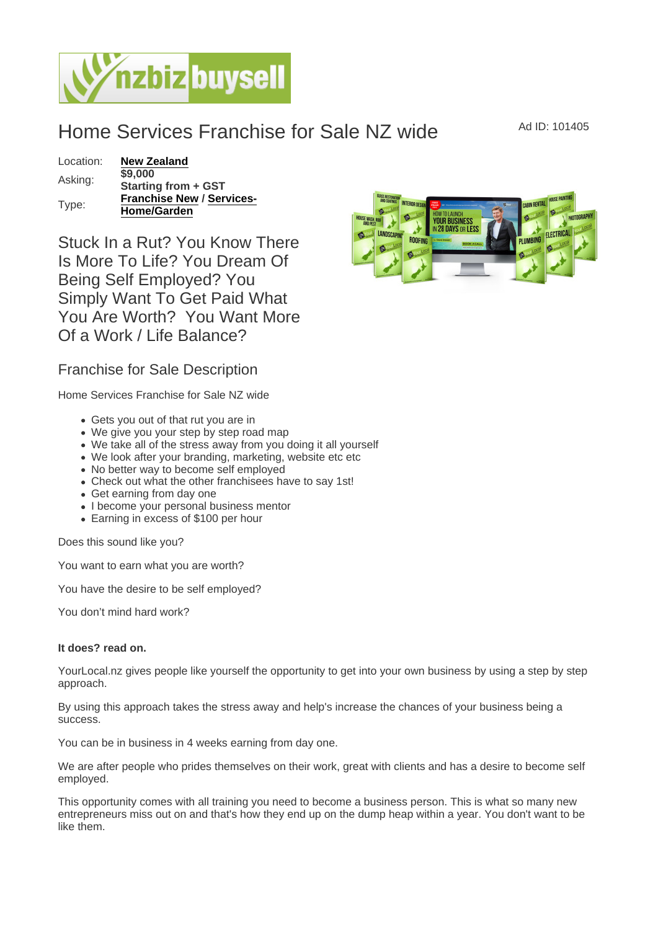## Home Services Franchise for Sale NZ wide Ad ID: 101405

| Location: | New Zealand               |
|-----------|---------------------------|
| Asking:   | \$9,000                   |
|           | Starting from + GST       |
| Type:     | Franchise New / Services- |
|           | Home/Garden               |

Stuck In a Rut? You Know There Is More To Life? You Dream Of Being Self Employed? You Simply Want To Get Paid What You Are Worth? You Want More Of a Work / Life Balance?

## Franchise for Sale Description

Home Services Franchise for Sale NZ wide

- Gets you out of that rut you are in
- We give you your step by step road map
- We take all of the stress away from you doing it all yourself
- We look after your branding, marketing, website etc etc
- No better way to become self employed
- Check out what the other franchisees have to say 1st!
- Get earning from day one
- I become your personal business mentor
- Earning in excess of \$100 per hour

Does this sound like you?

You want to earn what you are worth?

You have the desire to be self employed?

You don't mind hard work?

It does? read on.

YourLocal.nz gives people like yourself the opportunity to get into your own business by using a step by step approach.

By using this approach takes the stress away and help's increase the chances of your business being a success.

You can be in business in 4 weeks earning from day one.

We are after people who prides themselves on their work, great with clients and has a desire to become self employed.

This opportunity comes with all training you need to become a business person. This is what so many new entrepreneurs miss out on and that's how they end up on the dump heap within a year. You don't want to be like them.